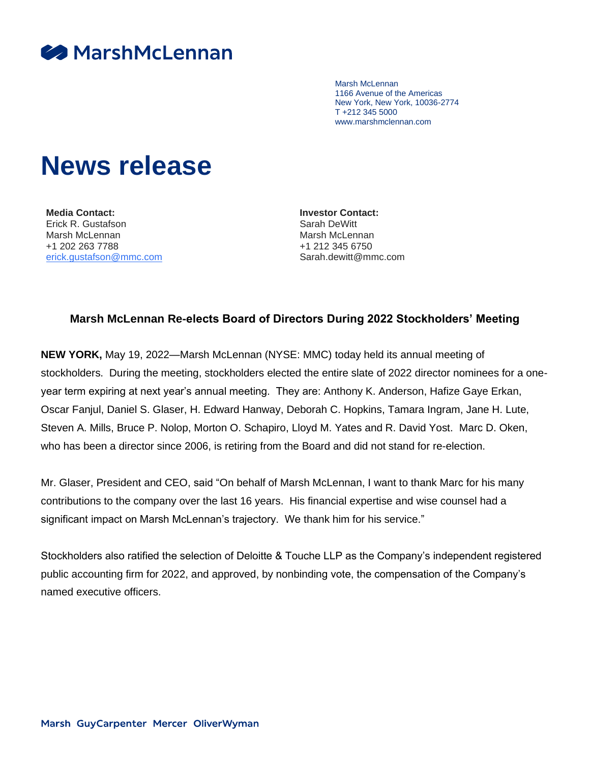

Marsh McLennan 1166 Avenue of the Americas New York, New York, 10036-2774 T +212 345 5000 www.marshmclennan.com

## **News release**

**Media Contact:** Erick R. Gustafson Marsh McLennan +1 202 263 7788 [erick.gustafson@mmc.com](mailto:erick.gustafson@mmc.com) **Investor Contact:** Sarah DeWitt Marsh McLennan +1 212 345 6750 Sarah.dewitt@mmc.com

## **Marsh McLennan Re-elects Board of Directors During 2022 Stockholders' Meeting**

**NEW YORK,** May 19, 2022—Marsh McLennan (NYSE: MMC) today held its annual meeting of stockholders. During the meeting, stockholders elected the entire slate of 2022 director nominees for a oneyear term expiring at next year's annual meeting. They are: Anthony K. Anderson, Hafize Gaye Erkan, Oscar Fanjul, Daniel S. Glaser, H. Edward Hanway, Deborah C. Hopkins, Tamara Ingram, Jane H. Lute, Steven A. Mills, Bruce P. Nolop, Morton O. Schapiro, Lloyd M. Yates and R. David Yost. Marc D. Oken, who has been a director since 2006, is retiring from the Board and did not stand for re-election.

Mr. Glaser, President and CEO, said "On behalf of Marsh McLennan, I want to thank Marc for his many contributions to the company over the last 16 years. His financial expertise and wise counsel had a significant impact on Marsh McLennan's trajectory. We thank him for his service."

Stockholders also ratified the selection of Deloitte & Touche LLP as the Company's independent registered public accounting firm for 2022, and approved, by nonbinding vote, the compensation of the Company's named executive officers.